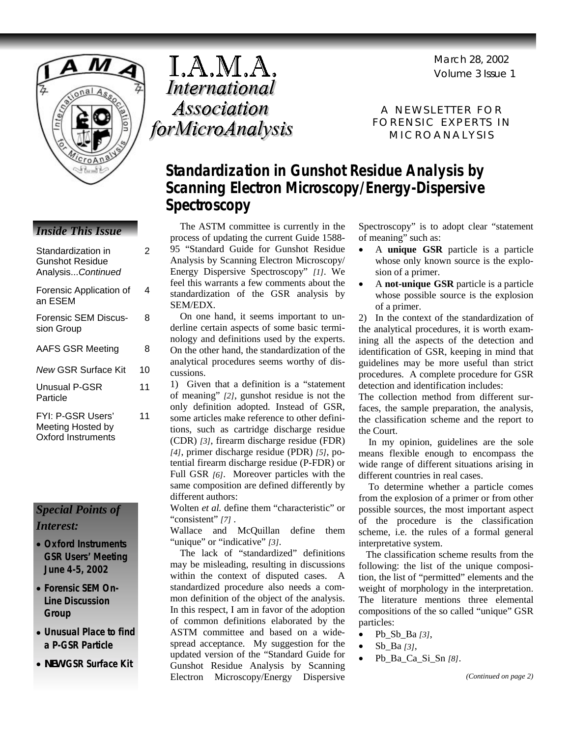Volume 3 Issue 1 March 28, 2002



| Standardization in<br><b>Gunshot Residue</b><br>AnalysisContinued | 2  |
|-------------------------------------------------------------------|----|
| Forensic Application of<br>an ESEM                                | 4  |
| <b>Forensic SEM Discus-</b><br>sion Group                         | 8  |
| <b>AAFS GSR Meeting</b>                                           | 8  |
| New GSR Surface Kit                                               | 10 |
| <b>Unusual P-GSR</b><br>Particle                                  | 11 |
| FYI: P-GSR Users'<br>Meeting Hosted by<br>Oxford Instruments      | 11 |

### *Special Points of Interest:*

- **Oxford Instruments GSR Users' Meeting June 4-5, 2002**
- **Forensic SEM On-Line Discussion Group**
- **Unusual Place to find a P-GSR Particle**
- *NEW* **GSR Surface Kit**

I.A.M.A. **International Association** forMicroAnalysis

A NEWSLETTER FOR FORENSIC EXPERTS IN MICROANALYSIS

## **Standardization in Gunshot Residue Analysis by Scanning Electron Microscopy/Energy-Dispersive Spectroscopy**

*Inside This Issue* The ASTM committee is currently in the process of updating the current Guide 1588- 95 "Standard Guide for Gunshot Residue Analysis by Scanning Electron Microscopy/ Energy Dispersive Spectroscopy" *[1]*. We feel this warrants a few comments about the standardization of the GSR analysis by SEM/EDX.

 On one hand, it seems important to underline certain aspects of some basic terminology and definitions used by the experts. On the other hand, the standardization of the analytical procedures seems worthy of discussions.

1) Given that a definition is a "statement of meaning" *[2]*, gunshot residue is not the only definition adopted. Instead of GSR, some articles make reference to other definitions, such as cartridge discharge residue (CDR) *[3]*, firearm discharge residue (FDR) *[4]*, primer discharge residue (PDR) *[5]*, potential firearm discharge residue (P-FDR) or Full GSR *[6]*. Moreover particles with the same composition are defined differently by different authors:

Wolten *et al.* define them "characteristic" or "consistent" *[7]* .

Wallace and McQuillan define them "unique" or "indicative" [3].

 The lack of "standardized" definitions may be misleading, resulting in discussions within the context of disputed cases. A standardized procedure also needs a common definition of the object of the analysis. In this respect, I am in favor of the adoption of common definitions elaborated by the ASTM committee and based on a widespread acceptance. My suggestion for the updated version of the "Standard Guide for Gunshot Residue Analysis by Scanning Electron Microscopy/Energy Dispersive Spectroscopy" is to adopt clear "statement of meaning" such as:

- A **unique GSR** particle is a particle whose only known source is the explosion of a primer.
- A **not-unique GSR** particle is a particle whose possible source is the explosion of a primer.

2) In the context of the standardization of the analytical procedures, it is worth examining all the aspects of the detection and identification of GSR, keeping in mind that guidelines may be more useful than strict procedures. A complete procedure for GSR detection and identification includes:

The collection method from different surfaces, the sample preparation, the analysis, the classification scheme and the report to the Court.

 In my opinion, guidelines are the sole means flexible enough to encompass the wide range of different situations arising in different countries in real cases.

 To determine whether a particle comes from the explosion of a primer or from other possible sources, the most important aspect of the procedure is the classification scheme, i.e. the rules of a formal general interpretative system.

 The classification scheme results from the following: the list of the unique composition, the list of "permitted" elements and the weight of morphology in the interpretation. The literature mentions three elemental compositions of the so called "unique" GSR particles:

- Pb\_Sb\_Ba *[3]*,
- Sb\_Ba *[3]*,
- Pb\_Ba\_Ca\_Si\_Sn *[8]*.

*(Continued on page 2)*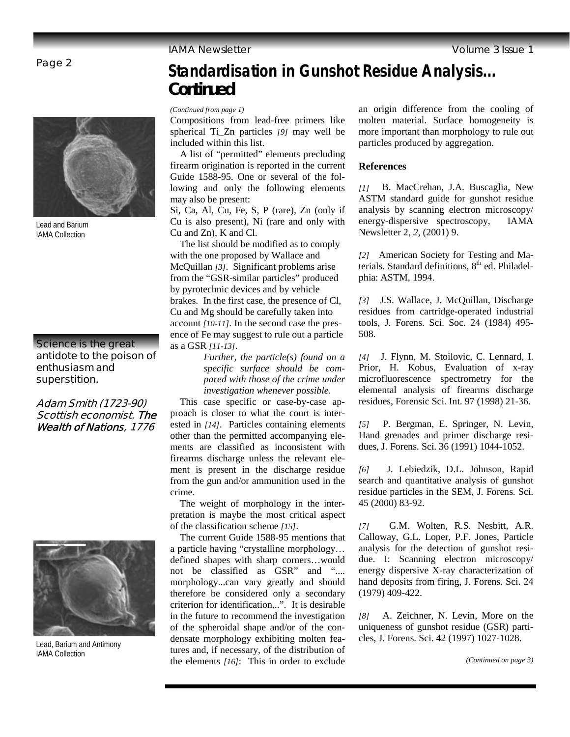Page 2



Lead and Barium IAMA Collection

### **Science is the great antidote to the poison of enthusiasm and superstition.**

### **Adam Smith (1723-90) Scottish economist. The Wealth of Nations, 1776**



Lead, Barium and Antimony IAMA Collection

## **Standardisation in Gunshot Residue Analysis...** *Continued*

*(Continued from page 1)* 

Compositions from lead-free primers like spherical Ti\_Zn particles *[9]* may well be included within this list.

 A list of "permitted" elements precluding firearm origination is reported in the current Guide 1588-95. One or several of the following and only the following elements may also be present:

Si, Ca, Al, Cu, Fe, S, P (rare), Zn (only if Cu is also present), Ni (rare and only with Cu and Zn), K and Cl.

 The list should be modified as to comply with the one proposed by Wallace and McQuillan *[3]*. Significant problems arise from the "GSR-similar particles" produced by pyrotechnic devices and by vehicle brakes. In the first case, the presence of Cl, Cu and Mg should be carefully taken into account *[10-11]*. In the second case the presence of Fe may suggest to rule out a particle as a GSR *[11-13]*.

> *Further, the particle(s) found on a specific surface should be compared with those of the crime under investigation whenever possible.*

 This case specific or case-by-case approach is closer to what the court is interested in *[14]*. Particles containing elements other than the permitted accompanying elements are classified as inconsistent with firearms discharge unless the relevant element is present in the discharge residue from the gun and/or ammunition used in the crime.

 The weight of morphology in the interpretation is maybe the most critical aspect of the classification scheme *[15]*.

 The current Guide 1588-95 mentions that a particle having "crystalline morphology… defined shapes with sharp corners…would not be classified as GSR" and ".... morphology...can vary greatly and should therefore be considered only a secondary criterion for identification...". It is desirable in the future to recommend the investigation of the spheroidal shape and/or of the condensate morphology exhibiting molten features and, if necessary, of the distribution of the elements *[16]*: This in order to exclude

an origin difference from the cooling of molten material. Surface homogeneity is more important than morphology to rule out particles produced by aggregation.

### **References**

*[1]* B. MacCrehan, J.A. Buscaglia, New ASTM standard guide for gunshot residue analysis by scanning electron microscopy/ energy-dispersive spectroscopy, IAMA Newsletter 2, *2*, (2001) 9.

*[2]* American Society for Testing and Materials. Standard definitions,  $8<sup>th</sup>$  ed. Philadelphia: ASTM, 1994.

*[3]* J.S. Wallace, J. McQuillan, Discharge residues from cartridge-operated industrial tools, J. Forens. Sci. Soc. 24 (1984) 495- 508.

*[4]* J. Flynn, M. Stoilovic, C. Lennard, I. Prior, H. Kobus, Evaluation of x-ray microfluorescence spectrometry for the elemental analysis of firearms discharge residues, Forensic Sci. Int. 97 (1998) 21-36.

*[5]* P. Bergman, E. Springer, N. Levin, Hand grenades and primer discharge residues, J. Forens. Sci. 36 (1991) 1044-1052.

*[6]* J. Lebiedzik, D.L. Johnson, Rapid search and quantitative analysis of gunshot residue particles in the SEM, J. Forens. Sci. 45 (2000) 83-92.

*[7]* G.M. Wolten, R.S. Nesbitt, A.R. Calloway, G.L. Loper, P.F. Jones, Particle analysis for the detection of gunshot residue. I: Scanning electron microscopy/ energy dispersive X-ray characterization of hand deposits from firing, J. Forens. Sci. 24 (1979) 409-422.

*[8]* A. Zeichner, N. Levin, More on the uniqueness of gunshot residue (GSR) particles, J. Forens. Sci. 42 (1997) 1027-1028.

*(Continued on page 3)*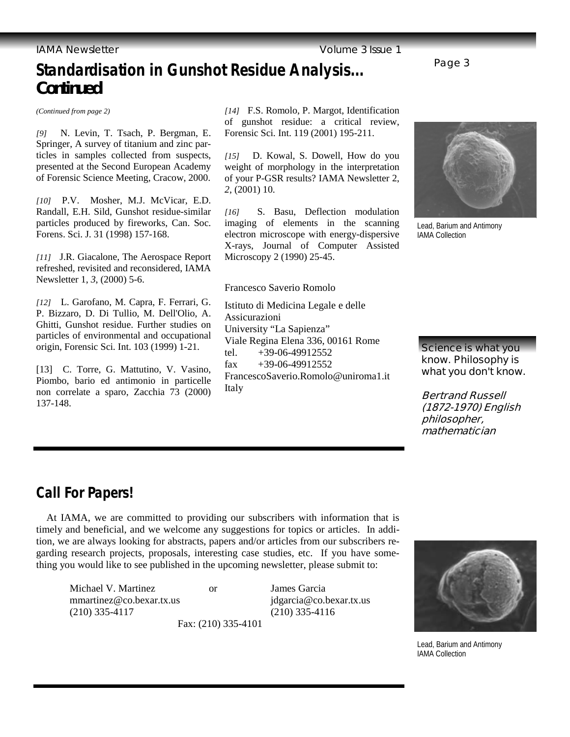## Page 3 **Standardisation in Gunshot Residue Analysis...** *Continued*

*(Continued from page 2)* 

*[9]* N. Levin, T. Tsach, P. Bergman, E. Springer, A survey of titanium and zinc particles in samples collected from suspects, presented at the Second European Academy of Forensic Science Meeting, Cracow, 2000.

*[10]* P.V. Mosher, M.J. McVicar, E.D. Randall, E.H. Sild, Gunshot residue-similar particles produced by fireworks, Can. Soc. Forens. Sci. J. 31 (1998) 157-168.

*[11]* J.R. Giacalone, The Aerospace Report refreshed, revisited and reconsidered, IAMA Newsletter 1, *3*, (2000) 5-6.

*[12]* L. Garofano, M. Capra, F. Ferrari, G. P. Bizzaro, D. Di Tullio, M. Dell'Olio, A. Ghitti, Gunshot residue. Further studies on particles of environmental and occupational origin, Forensic Sci. Int. 103 (1999) 1-21.

[13] C. Torre, G. Mattutino, V. Vasino, Piombo, bario ed antimonio in particelle non correlate a sparo, Zacchia 73 (2000) 137-148.

*[14]* F.S. Romolo, P. Margot, Identification of gunshot residue: a critical review, Forensic Sci. Int. 119 (2001) 195-211.

*[15]* D. Kowal, S. Dowell, How do you weight of morphology in the interpretation of your P-GSR results? IAMA Newsletter 2, *2*, (2001) 10.

*[16]* S. Basu, Deflection modulation imaging of elements in the scanning electron microscope with energy-dispersive X-rays, Journal of Computer Assisted Microscopy 2 (1990) 25-45.

### Francesco Saverio Romolo

Istituto di Medicina Legale e delle Assicurazioni University "La Sapienza" Viale Regina Elena 336, 00161 Rome tel.  $+39-06-49912552$ fax  $+39-06-49912552$ FrancescoSaverio.Romolo@uniroma1.it Italy



Lead, Barium and Antimony IAMA Collection

**Science is what you know. Philosophy is what you don't know.** 

**Bertrand Russell (1872-1970) English philosopher, mathematician** 

## **Call For Papers!**

 At IAMA, we are committed to providing our subscribers with information that is timely and beneficial, and we welcome any suggestions for topics or articles. In addition, we are always looking for abstracts, papers and/or articles from our subscribers regarding research projects, proposals, interesting case studies, etc. If you have something you would like to see published in the upcoming newsletter, please submit to:

Michael V. Martinez or James Garcia mmartinez@co.bexar.tx.us jdgarcia@co.bexar.tx.us (210) 335-4117 (210) 335-4116

Fax: (210) 335-4101



Lead, Barium and Antimony IAMA Collection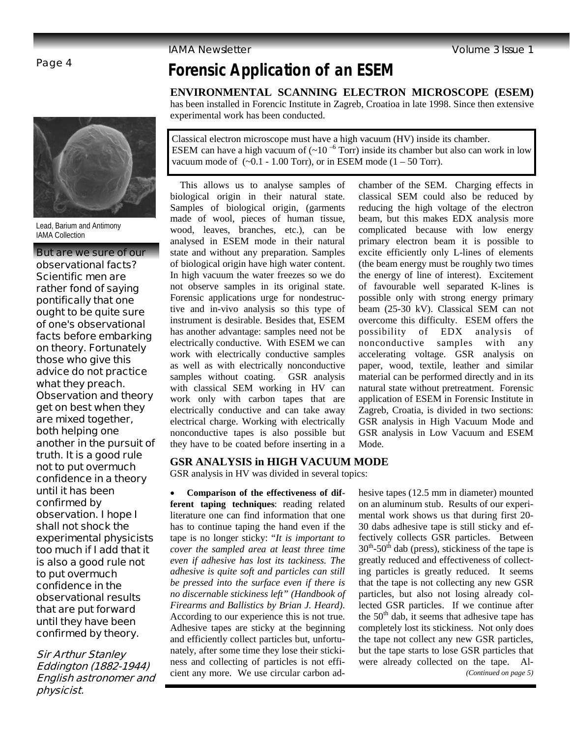## **Forensic Application of an ESEM**

**ENVIRONMENTAL SCANNING ELECTRON MICROSCOPE (ESEM)**

has been installed in Forencic Institute in Zagreb, Croatioa in late 1998. Since then extensive experimental work has been conducted.

Classical electron microscope must have a high vacuum (HV) inside its chamber. ESEM can have a high vacuum of  $(-10^{-6}$  Torr) inside its chamber but also can work in low vacuum mode of  $(-0.1 - 1.00$  Torr), or in ESEM mode  $(1 - 50$  Torr).

 This allows us to analyse samples of biological origin in their natural state. Samples of biological origin, (garments made of wool, pieces of human tissue, wood, leaves, branches, etc.), can be analysed in ESEM mode in their natural state and without any preparation. Samples of biological origin have high water content. In high vacuum the water freezes so we do not observe samples in its original state. Forensic applications urge for nondestructive and in-vivo analysis so this type of instrument is desirable. Besides that, ESEM has another advantage: samples need not be electrically conductive. With ESEM we can work with electrically conductive samples as well as with electrically nonconductive samples without coating. GSR analysis with classical SEM working in HV can work only with carbon tapes that are electrically conductive and can take away electrical charge. Working with electrically nonconductive tapes is also possible but they have to be coated before inserting in a

### chamber of the SEM. Charging effects in classical SEM could also be reduced by reducing the high voltage of the electron beam, but this makes EDX analysis more complicated because with low energy primary electron beam it is possible to excite efficiently only L-lines of elements (the beam energy must be roughly two times the energy of line of interest). Excitement of favourable well separated K-lines is possible only with strong energy primary beam (25-30 kV). Classical SEM can not overcome this difficulty. ESEM offers the possibility of EDX analysis of nonconductive samples with any accelerating voltage. GSR analysis on paper, wood, textile, leather and similar material can be performed directly and in its natural state without pretreatment. Forensic application of ESEM in Forensic Institute in Zagreb, Croatia, is divided in two sections: GSR analysis in High Vacuum Mode and GSR analysis in Low Vacuum and ESEM Mode.

### **GSR ANALYSIS in HIGH VACUUM MODE**

GSR analysis in HV was divided in several topics:

• **Comparison of the effectiveness of different taping techniques**: reading related literature one can find information that one has to continue taping the hand even if the tape is no longer sticky: "*It is important to cover the sampled area at least three time even if adhesive has lost its tackiness. The adhesive is quite soft and particles can still be pressed into the surface even if there is no discernable stickiness left" (Handbook of Firearms and Ballistics by Brian J. Heard)*. According to our experience this is not true. Adhesive tapes are sticky at the beginning and efficiently collect particles but, unfortunately, after some time they lose their stickiness and collecting of particles is not efficient any more. We use circular carbon adhesive tapes (12.5 mm in diameter) mounted on an aluminum stub. Results of our experimental work shows us that during first 20- 30 dabs adhesive tape is still sticky and effectively collects GSR particles. Between  $30<sup>th</sup>$ -50<sup>th</sup> dab (press), stickiness of the tape is greatly reduced and effectiveness of collecting particles is greatly reduced. It seems that the tape is not collecting any new GSR particles, but also not losing already collected GSR particles. If we continue after the  $50<sup>th</sup>$  dab, it seems that adhesive tape has completely lost its stickiness. Not only does the tape not collect any new GSR particles, but the tape starts to lose GSR particles that were already collected on the tape. Al- *(Continued on page 5)* 



Lead, Barium and Antimony IAMA Collection

**But are we sure of our observational facts? Scientific men are rather fond of saying pontifically that one ought to be quite sure of one's observational facts before embarking on theory. Fortunately those who give this advice do not practice what they preach. Observation and theory get on best when they are mixed together, both helping one another in the pursuit of truth. It is a good rule not to put overmuch confidence in a theory until it has been confirmed by observation. I hope I shall not shock the experimental physicists too much if I add that it is also a good rule not to put overmuch confidence in the observational results that are put forward until they have been confirmed by theory.** 

**Sir Arthur Stanley Eddington (1882-1944) English astronomer and physicist.**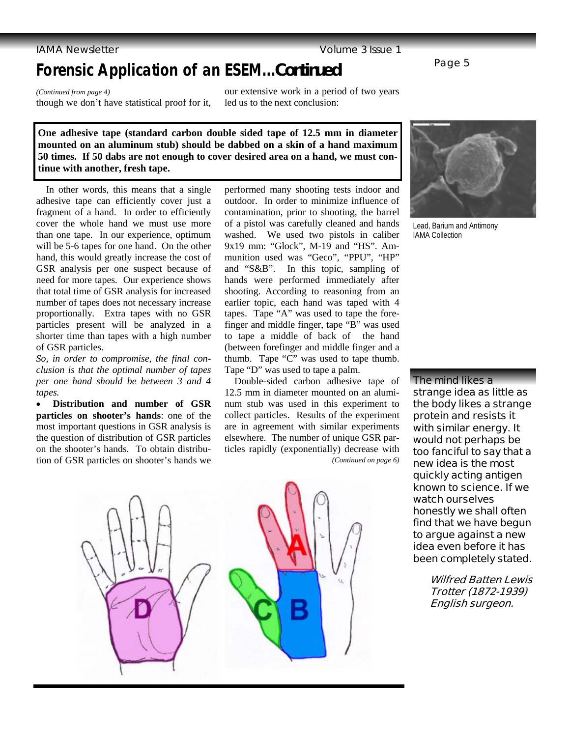### **IAMA Newsletter Contract Contract Contract Contract Contract Contract Contract Contract Contract Contract Contract Contract Contract Contract Contract Contract Contract Contract Contract Contract Contract Contract Contrac**

## **Forensic Application of an ESEM...***Continued*

*(Continued from page 4)*  though we don't have statistical proof for it, our extensive work in a period of two years led us to the next conclusion:

**One adhesive tape (standard carbon double sided tape of 12.5 mm in diameter mounted on an aluminum stub) should be dabbed on a skin of a hand maximum 50 times. If 50 dabs are not enough to cover desired area on a hand, we must continue with another, fresh tape.**

 In other words, this means that a single adhesive tape can efficiently cover just a fragment of a hand. In order to efficiently cover the whole hand we must use more than one tape. In our experience, optimum will be 5-6 tapes for one hand. On the other hand, this would greatly increase the cost of GSR analysis per one suspect because of need for more tapes. Our experience shows that total time of GSR analysis for increased number of tapes does not necessary increase proportionally. Extra tapes with no GSR particles present will be analyzed in a shorter time than tapes with a high number of GSR particles.

*So, in order to compromise, the final conclusion is that the optimal number of tapes per one hand should be between 3 and 4 tapes.*

• **Distribution and number of GSR particles on shooter's hands**: one of the most important questions in GSR analysis is the question of distribution of GSR particles on the shooter's hands. To obtain distribution of GSR particles on shooter's hands we performed many shooting tests indoor and outdoor. In order to minimize influence of contamination, prior to shooting, the barrel of a pistol was carefully cleaned and hands washed. We used two pistols in caliber 9x19 mm: "Glock", M-19 and "HS". Ammunition used was "Geco", "PPU", "HP" and "S&B". In this topic, sampling of hands were performed immediately after shooting. According to reasoning from an earlier topic, each hand was taped with 4 tapes. Tape "A" was used to tape the forefinger and middle finger, tape "B" was used to tape a middle of back of the hand (between forefinger and middle finger and a thumb. Tape "C" was used to tape thumb. Tape "D" was used to tape a palm.

 Double-sided carbon adhesive tape of 12.5 mm in diameter mounted on an aluminum stub was used in this experiment to collect particles. Results of the experiment are in agreement with similar experiments elsewhere. The number of unique GSR particles rapidly (exponentially) decrease with *(Continued on page 6)* 



Lead, Barium and Antimony IAMA Collection

**The mind likes a strange idea as little as the body likes a strange protein and resists it with similar energy. It would not perhaps be too fanciful to say that a new idea is the most quickly acting antigen known to science. If we watch ourselves honestly we shall often find that we have begun to argue against a new idea even before it has been completely stated.** 

> **Wilfred Batten Lewis Trotter (1872-1939) English surgeon.**





Page 5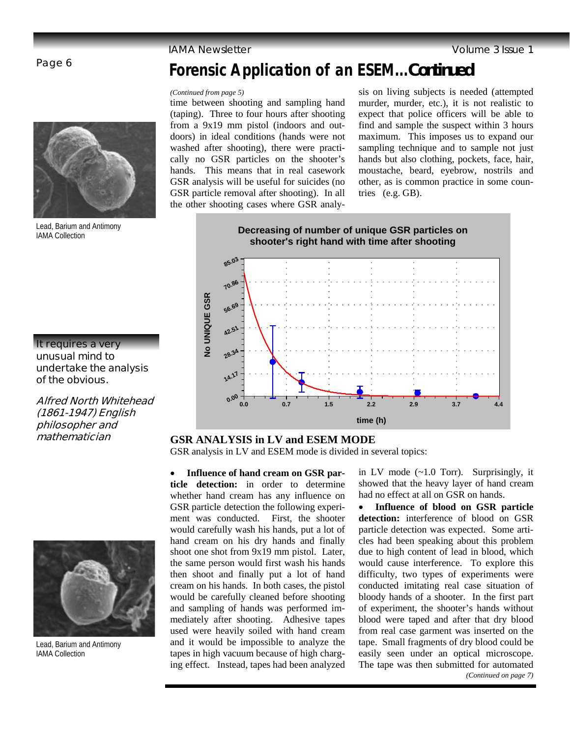### **IAMA Newsletter Contract Contract Contract Contract Contract Contract Contract Contract Contract Contract Contract Contract Contract Contract Contract Contract Contract Contract Contract Contract Contract Contract Contrac**

### Page 6



Lead, Barium and Antimony IAMA Collection

### **It requires a very unusual mind to undertake the analysis of the obvious.**

**Alfred North Whitehead (1861-1947) English philosopher and** 



Lead, Barium and Antimony IAMA Collection

## **Forensic Application of an ESEM...***Continued*

### *(Continued from page 5)*

time between shooting and sampling hand (taping). Three to four hours after shooting from a 9x19 mm pistol (indoors and outdoors) in ideal conditions (hands were not washed after shooting), there were practically no GSR particles on the shooter's hands. This means that in real casework GSR analysis will be useful for suicides (no GSR particle removal after shooting). In all the other shooting cases where GSR analy-

sis on living subjects is needed (attempted murder, murder, etc.), it is not realistic to expect that police officers will be able to find and sample the suspect within 3 hours maximum. This imposes us to expand our sampling technique and to sample not just hands but also clothing, pockets, face, hair, moustache, beard, eyebrow, nostrils and other, as is common practice in some countries (e.g. GB).



### **mathematician GSR ANALYSIS in LV and ESEM MODE**

GSR analysis in LV and ESEM mode is divided in several topics:

• **Influence of hand cream on GSR particle detection:** in order to determine whether hand cream has any influence on GSR particle detection the following experiment was conducted. First, the shooter would carefully wash his hands, put a lot of hand cream on his dry hands and finally shoot one shot from 9x19 mm pistol. Later, the same person would first wash his hands then shoot and finally put a lot of hand cream on his hands. In both cases, the pistol would be carefully cleaned before shooting and sampling of hands was performed immediately after shooting. Adhesive tapes used were heavily soiled with hand cream and it would be impossible to analyze the tapes in high vacuum because of high charging effect. Instead, tapes had been analyzed

in LV mode (~1.0 Torr). Surprisingly, it showed that the heavy layer of hand cream had no effect at all on GSR on hands.

• **Influence of blood on GSR particle detection:** interference of blood on GSR particle detection was expected. Some articles had been speaking about this problem due to high content of lead in blood, which would cause interference. To explore this difficulty, two types of experiments were conducted imitating real case situation of bloody hands of a shooter. In the first part of experiment, the shooter's hands without blood were taped and after that dry blood from real case garment was inserted on the tape. Small fragments of dry blood could be easily seen under an optical microscope. The tape was then submitted for automated *(Continued on page 7)*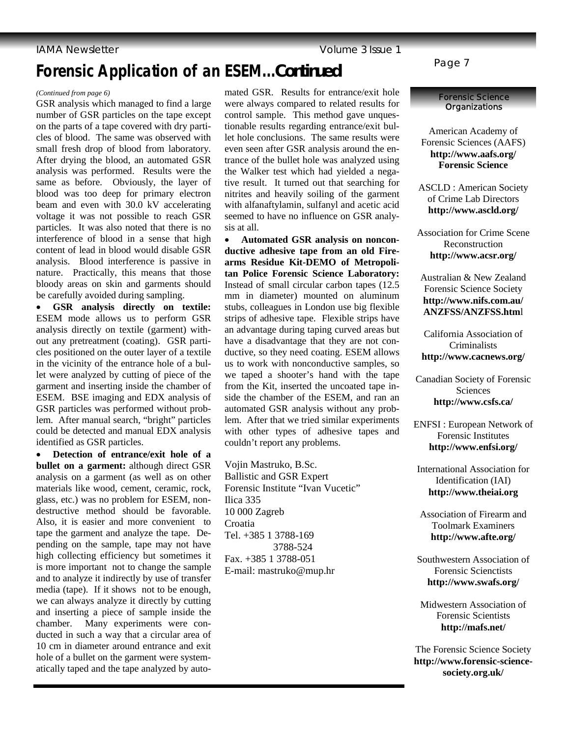## **Forensic Application of an ESEM...***Continued*

### *(Continued from page 6)*

GSR analysis which managed to find a large number of GSR particles on the tape except on the parts of a tape covered with dry particles of blood. The same was observed with small fresh drop of blood from laboratory. After drying the blood, an automated GSR analysis was performed. Results were the same as before. Obviously, the layer of blood was too deep for primary electron beam and even with 30.0 kV accelerating voltage it was not possible to reach GSR particles. It was also noted that there is no interference of blood in a sense that high content of lead in blood would disable GSR analysis. Blood interference is passive in nature. Practically, this means that those bloody areas on skin and garments should be carefully avoided during sampling.

• **GSR analysis directly on textile:** ESEM mode allows us to perform GSR analysis directly on textile (garment) without any pretreatment (coating). GSR particles positioned on the outer layer of a textile in the vicinity of the entrance hole of a bullet were analyzed by cutting of piece of the garment and inserting inside the chamber of ESEM. BSE imaging and EDX analysis of GSR particles was performed without problem. After manual search, "bright" particles could be detected and manual EDX analysis identified as GSR particles.

• **Detection of entrance/exit hole of a bullet on a garment:** although direct GSR analysis on a garment (as well as on other materials like wood, cement, ceramic, rock, glass, etc.) was no problem for ESEM, nondestructive method should be favorable. Also, it is easier and more convenient to tape the garment and analyze the tape. Depending on the sample, tape may not have high collecting efficiency but sometimes it is more important not to change the sample and to analyze it indirectly by use of transfer media (tape). If it shows not to be enough, we can always analyze it directly by cutting and inserting a piece of sample inside the chamber. Many experiments were conducted in such a way that a circular area of 10 cm in diameter around entrance and exit hole of a bullet on the garment were systematically taped and the tape analyzed by automated GSR. Results for entrance/exit hole were always compared to related results for control sample. This method gave unquestionable results regarding entrance/exit bullet hole conclusions. The same results were even seen after GSR analysis around the entrance of the bullet hole was analyzed using the Walker test which had yielded a negative result. It turned out that searching for nitrites and heavily soiling of the garment with alfanaftylamin, sulfanyl and acetic acid seemed to have no influence on GSR analysis at all.

• **Automated GSR analysis on nonconductive adhesive tape from an old Firearms Residue Kit-DEMO of Metropolitan Police Forensic Science Laboratory:**  Instead of small circular carbon tapes (12.5 mm in diameter) mounted on aluminum stubs, colleagues in London use big flexible strips of adhesive tape. Flexible strips have an advantage during taping curved areas but have a disadvantage that they are not conductive, so they need coating. ESEM allows us to work with nonconductive samples, so we taped a shooter's hand with the tape from the Kit, inserted the uncoated tape inside the chamber of the ESEM, and ran an automated GSR analysis without any problem. After that we tried similar experiments with other types of adhesive tapes and couldn't report any problems.

Vojin Mastruko, B.Sc. Ballistic and GSR Expert Forensic Institute "Ivan Vucetic" Ilica 335 10 000 Zagreb Croatia Tel. +385 1 3788-169 3788-524 Fax. +385 1 3788-051 E-mail: mastruko@mup.hr

Page 7

### **Forensic Science Organizations**

American Academy of Forensic Sciences (AAFS) **http://www.aafs.org/ Forensic Science** 

ASCLD : American Society of Crime Lab Directors **http://www.ascld.org/** 

Association for Crime Scene Reconstruction **http://www.acsr.org/** 

Australian & New Zealand Forensic Science Society **http://www.nifs.com.au/ ANZFSS/ANZFSS.htm**l

California Association of Criminalists **http://www.cacnews.org/** 

Canadian Society of Forensic Sciences **http://www.csfs.ca/** 

ENFSI : European Network of Forensic Institutes **http://www.enfsi.org/** 

International Association for Identification (IAI) **http://www.theiai.org** 

Association of Firearm and Toolmark Examiners **http://www.afte.org/** 

Southwestern Association of Forensic Scienctists **http://www.swafs.org/** 

Midwestern Association of Forensic Scientists **http://mafs.net/** 

The Forensic Science Society **http://www.forensic-sciencesociety.org.uk/**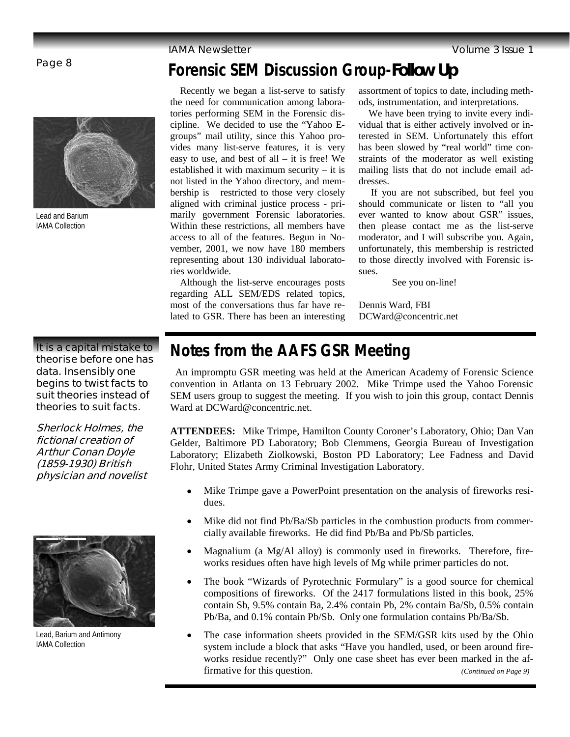### Page 8



Lead and Barium IAMA Collection

### **It is a capital mistake to theorise before one has data. Insensibly one begins to twist facts to suit theories instead of theories to suit facts.**

**Sherlock Holmes, the fictional creation of Arthur Conan Doyle (1859-1930) British physician and novelist**



Lead, Barium and Antimony IAMA Collection

## **Forensic SEM Discussion Group-***Follow Up*

 Recently we began a list-serve to satisfy the need for communication among laboratories performing SEM in the Forensic discipline. We decided to use the "Yahoo Egroups" mail utility, since this Yahoo provides many list-serve features, it is very easy to use, and best of all – it is free! We established it with maximum security – it is not listed in the Yahoo directory, and membership is restricted to those very closely aligned with criminal justice process - primarily government Forensic laboratories. Within these restrictions, all members have access to all of the features. Begun in November, 2001, we now have 180 members representing about 130 individual laboratories worldwide.

 Although the list-serve encourages posts regarding ALL SEM/EDS related topics, most of the conversations thus far have related to GSR. There has been an interesting

assortment of topics to date, including methods, instrumentation, and interpretations.

 We have been trying to invite every individual that is either actively involved or interested in SEM. Unfortunately this effort has been slowed by "real world" time constraints of the moderator as well existing mailing lists that do not include email addresses.

 If you are not subscribed, but feel you should communicate or listen to "all you ever wanted to know about GSR" issues, then please contact me as the list-serve moderator, and I will subscribe you. Again, unfortunately, this membership is restricted to those directly involved with Forensic issues.

See you on-line!

Dennis Ward, FBI DCWard@concentric.net

## **Notes from the AAFS GSR Meeting**

 An impromptu GSR meeting was held at the American Academy of Forensic Science convention in Atlanta on 13 February 2002. Mike Trimpe used the Yahoo Forensic SEM users group to suggest the meeting. If you wish to join this group, contact Dennis Ward at DCWard@concentric.net.

**ATTENDEES:** Mike Trimpe, Hamilton County Coroner's Laboratory, Ohio; Dan Van Gelder, Baltimore PD Laboratory; Bob Clemmens, Georgia Bureau of Investigation Laboratory; Elizabeth Ziolkowski, Boston PD Laboratory; Lee Fadness and David Flohr, United States Army Criminal Investigation Laboratory.

- Mike Trimpe gave a PowerPoint presentation on the analysis of fireworks residues.
- Mike did not find Pb/Ba/Sb particles in the combustion products from commercially available fireworks. He did find Pb/Ba and Pb/Sb particles.
- Magnalium (a Mg/Al alloy) is commonly used in fireworks. Therefore, fireworks residues often have high levels of Mg while primer particles do not.
- The book "Wizards of Pyrotechnic Formulary" is a good source for chemical compositions of fireworks. Of the 2417 formulations listed in this book, 25% contain Sb, 9.5% contain Ba, 2.4% contain Pb, 2% contain Ba/Sb, 0.5% contain Pb/Ba, and 0.1% contain Pb/Sb. Only one formulation contains Pb/Ba/Sb.
- The case information sheets provided in the SEM/GSR kits used by the Ohio system include a block that asks "Have you handled, used, or been around fireworks residue recently?" Only one case sheet has ever been marked in the affirmative for this question. *(Continued on Page 9)*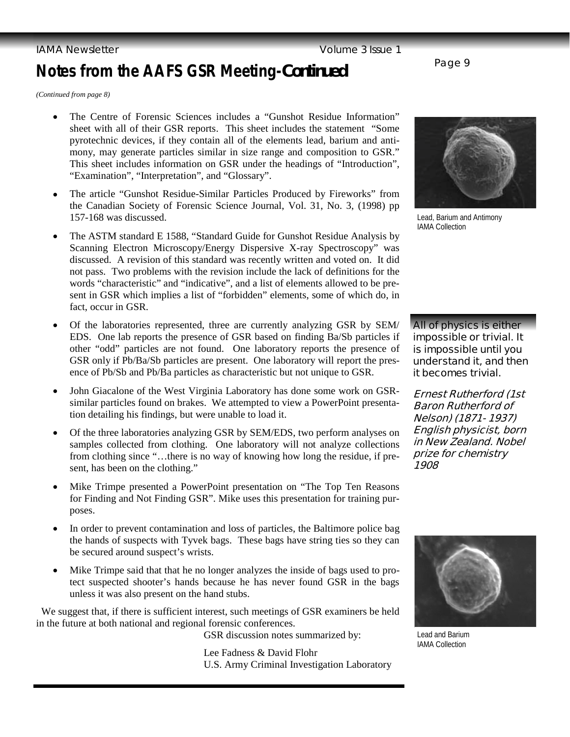### **IAMA Newsletter Contract Contract Contract Contract Contract Contract Contract Contract Contract Contract Contract Contract Contract Contract Contract Contract Contract Contract Contract Contract Contract Contract Contrac**

# **Notes from the AAFS GSR Meeting-***Continued* Page 9

*(Continued from page 8)* 

- The Centre of Forensic Sciences includes a "Gunshot Residue Information" sheet with all of their GSR reports. This sheet includes the statement "Some pyrotechnic devices, if they contain all of the elements lead, barium and antimony, may generate particles similar in size range and composition to GSR." This sheet includes information on GSR under the headings of "Introduction", "Examination", "Interpretation", and "Glossary".
- The article "Gunshot Residue-Similar Particles Produced by Fireworks" from the Canadian Society of Forensic Science Journal, Vol. 31, No. 3, (1998) pp 157-168 was discussed.
- The ASTM standard E 1588, "Standard Guide for Gunshot Residue Analysis by Scanning Electron Microscopy/Energy Dispersive X-ray Spectroscopy" was discussed. A revision of this standard was recently written and voted on. It did not pass. Two problems with the revision include the lack of definitions for the words "characteristic" and "indicative", and a list of elements allowed to be present in GSR which implies a list of "forbidden" elements, some of which do, in fact, occur in GSR.
- Of the laboratories represented, three are currently analyzing GSR by SEM/ EDS. One lab reports the presence of GSR based on finding Ba/Sb particles if other "odd" particles are not found. One laboratory reports the presence of GSR only if Pb/Ba/Sb particles are present. One laboratory will report the presence of Pb/Sb and Pb/Ba particles as characteristic but not unique to GSR.
- John Giacalone of the West Virginia Laboratory has done some work on GSRsimilar particles found on brakes. We attempted to view a PowerPoint presentation detailing his findings, but were unable to load it.
- Of the three laboratories analyzing GSR by SEM/EDS, two perform analyses on samples collected from clothing. One laboratory will not analyze collections from clothing since "…there is no way of knowing how long the residue, if present, has been on the clothing."
- Mike Trimpe presented a PowerPoint presentation on "The Top Ten Reasons for Finding and Not Finding GSR". Mike uses this presentation for training purposes.
- In order to prevent contamination and loss of particles, the Baltimore police bag the hands of suspects with Tyvek bags. These bags have string ties so they can be secured around suspect's wrists.
- Mike Trimpe said that that he no longer analyzes the inside of bags used to protect suspected shooter's hands because he has never found GSR in the bags unless it was also present on the hand stubs.

 We suggest that, if there is sufficient interest, such meetings of GSR examiners be held in the future at both national and regional forensic conferences.

GSR discussion notes summarized by:

Lee Fadness & David Flohr U.S. Army Criminal Investigation Laboratory



Lead, Barium and Antimony IAMA Collection

**All of physics is either impossible or trivial. It is impossible until you understand it, and then it becomes trivial.** 

**Ernest Rutherford (1st Baron Rutherford of Nelson) (1871- 1937) English physicist, born in New Zealand. Nobel prize for chemistry 1908**



Lead and Barium IAMA Collection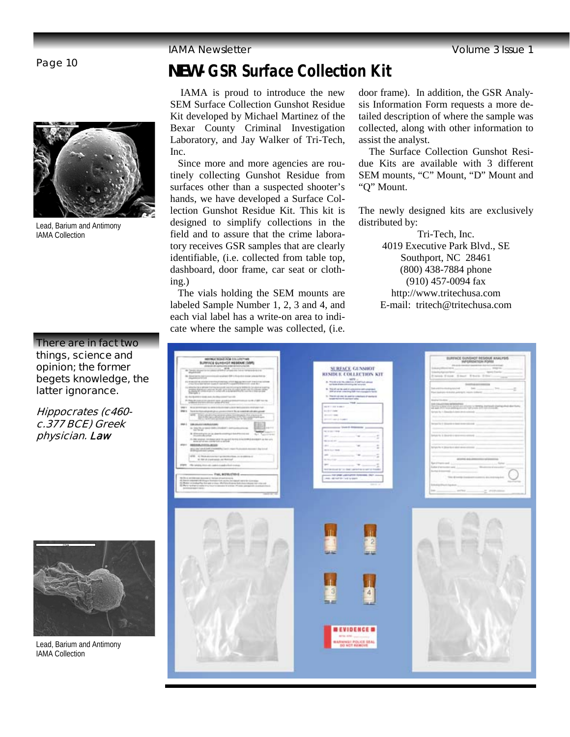

Lead, Barium and Antimony IAMA Collection

### **There are in fact two things, science and opinion; the former begets knowledge, the latter ignorance.**

**Hippocrates (c460 c.377 BCE) Greek physician. Law**



Lead, Barium and Antimony IAMA Collection

# *NEW-* **GSR Surface Collection Kit** Page 10

 IAMA is proud to introduce the new SEM Surface Collection Gunshot Residue Kit developed by Michael Martinez of the Bexar County Criminal Investigation Laboratory, and Jay Walker of Tri-Tech, Inc.

 Since more and more agencies are routinely collecting Gunshot Residue from surfaces other than a suspected shooter's hands, we have developed a Surface Collection Gunshot Residue Kit. This kit is designed to simplify collections in the field and to assure that the crime laboratory receives GSR samples that are clearly identifiable, (i.e. collected from table top, dashboard, door frame, car seat or clothing.)

 The vials holding the SEM mounts are labeled Sample Number 1, 2, 3 and 4, and each vial label has a write-on area to indicate where the sample was collected, (i.e.

door frame). In addition, the GSR Analysis Information Form requests a more detailed description of where the sample was collected, along with other information to assist the analyst.

 The Surface Collection Gunshot Residue Kits are available with 3 different SEM mounts, "C" Mount, "D" Mount and "Q" Mount.

The newly designed kits are exclusively distributed by:

> Tri-Tech, Inc. 4019 Executive Park Blvd., SE Southport, NC 28461 (800) 438-7884 phone (910) 457-0094 fax http://www.tritechusa.com E-mail: tritech@tritechusa.com